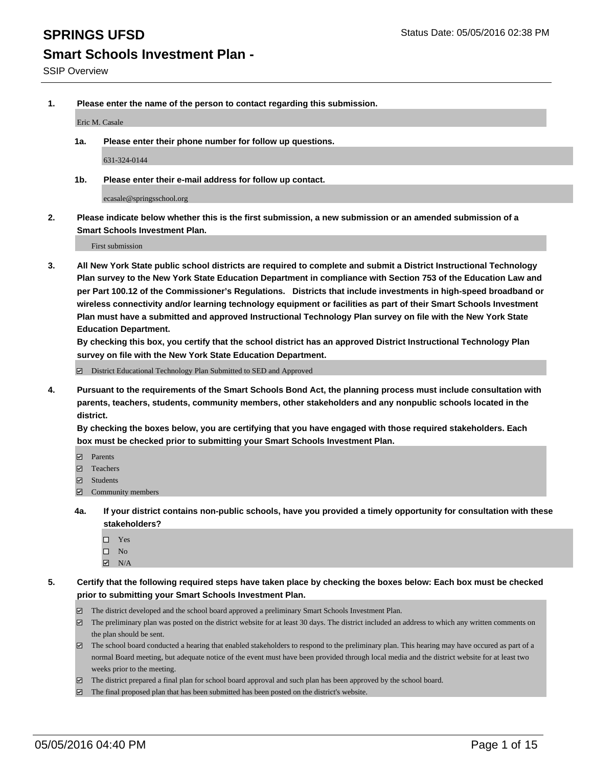**1. Please enter the name of the person to contact regarding this submission.**

Eric M. Casale

**1a. Please enter their phone number for follow up questions.**

631-324-0144

**1b. Please enter their e-mail address for follow up contact.**

ecasale@springsschool.org

**2. Please indicate below whether this is the first submission, a new submission or an amended submission of a Smart Schools Investment Plan.**

First submission

**3. All New York State public school districts are required to complete and submit a District Instructional Technology Plan survey to the New York State Education Department in compliance with Section 753 of the Education Law and per Part 100.12 of the Commissioner's Regulations. Districts that include investments in high-speed broadband or wireless connectivity and/or learning technology equipment or facilities as part of their Smart Schools Investment Plan must have a submitted and approved Instructional Technology Plan survey on file with the New York State Education Department.** 

**By checking this box, you certify that the school district has an approved District Instructional Technology Plan survey on file with the New York State Education Department.**

■ District Educational Technology Plan Submitted to SED and Approved

**4. Pursuant to the requirements of the Smart Schools Bond Act, the planning process must include consultation with parents, teachers, students, community members, other stakeholders and any nonpublic schools located in the district.** 

**By checking the boxes below, you are certifying that you have engaged with those required stakeholders. Each box must be checked prior to submitting your Smart Schools Investment Plan.**

- **Parents**
- □ Teachers
- Students
- $\boxdot$  Community members
- **4a. If your district contains non-public schools, have you provided a timely opportunity for consultation with these stakeholders?**
	- Yes
	- $\square$  No
	- $\boxtimes$  N/A
- **5. Certify that the following required steps have taken place by checking the boxes below: Each box must be checked prior to submitting your Smart Schools Investment Plan.**
	- The district developed and the school board approved a preliminary Smart Schools Investment Plan.
	- The preliminary plan was posted on the district website for at least 30 days. The district included an address to which any written comments on the plan should be sent.
	- $\Box$  The school board conducted a hearing that enabled stakeholders to respond to the preliminary plan. This hearing may have occured as part of a normal Board meeting, but adequate notice of the event must have been provided through local media and the district website for at least two weeks prior to the meeting.
	- The district prepared a final plan for school board approval and such plan has been approved by the school board.
	- The final proposed plan that has been submitted has been posted on the district's website.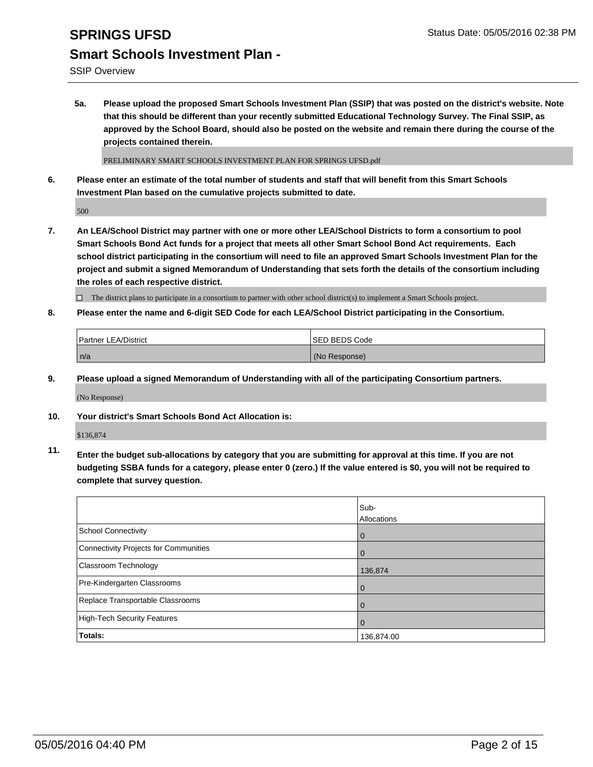## **SPRINGS UFSD** Status Date: 05/05/2016 02:38 PM **Smart Schools Investment Plan -**

SSIP Overview

**5a. Please upload the proposed Smart Schools Investment Plan (SSIP) that was posted on the district's website. Note that this should be different than your recently submitted Educational Technology Survey. The Final SSIP, as approved by the School Board, should also be posted on the website and remain there during the course of the projects contained therein.**

PRELIMINARY SMART SCHOOLS INVESTMENT PLAN FOR SPRINGS UFSD.pdf

**6. Please enter an estimate of the total number of students and staff that will benefit from this Smart Schools Investment Plan based on the cumulative projects submitted to date.**

500

**7. An LEA/School District may partner with one or more other LEA/School Districts to form a consortium to pool Smart Schools Bond Act funds for a project that meets all other Smart School Bond Act requirements. Each school district participating in the consortium will need to file an approved Smart Schools Investment Plan for the project and submit a signed Memorandum of Understanding that sets forth the details of the consortium including the roles of each respective district.**

 $\Box$  The district plans to participate in a consortium to partner with other school district(s) to implement a Smart Schools project.

**8. Please enter the name and 6-digit SED Code for each LEA/School District participating in the Consortium.**

| Partner LEA/District | <b>ISED BEDS Code</b> |
|----------------------|-----------------------|
| n/a                  | (No Response)         |

**9. Please upload a signed Memorandum of Understanding with all of the participating Consortium partners.**

(No Response)

**10. Your district's Smart Schools Bond Act Allocation is:**

\$136,874

**11. Enter the budget sub-allocations by category that you are submitting for approval at this time. If you are not budgeting SSBA funds for a category, please enter 0 (zero.) If the value entered is \$0, you will not be required to complete that survey question.**

|                                       | Sub-<br>Allocations |
|---------------------------------------|---------------------|
| <b>School Connectivity</b>            | 0                   |
| Connectivity Projects for Communities | 0                   |
| <b>Classroom Technology</b>           | 136,874             |
| Pre-Kindergarten Classrooms           | $\Omega$            |
| Replace Transportable Classrooms      | $\Omega$            |
| High-Tech Security Features           | $\Omega$            |
| Totals:                               | 136,874.00          |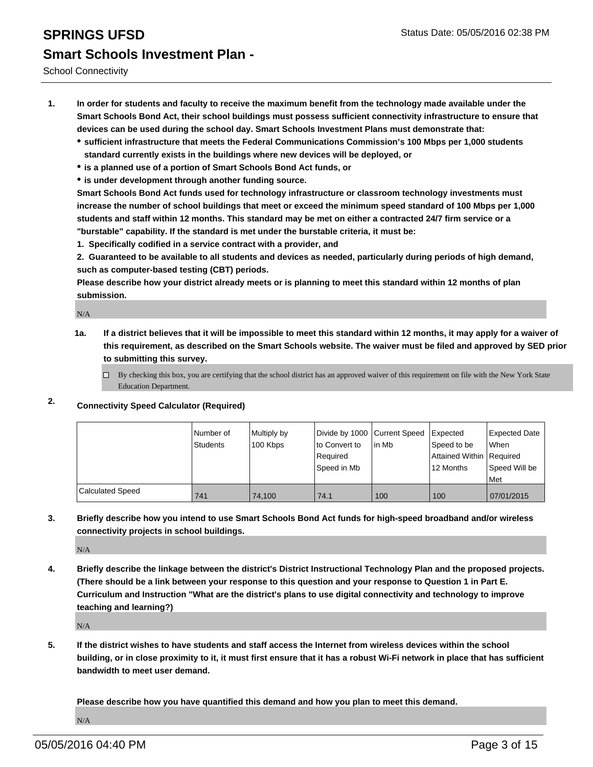### **SPRINGS UFSD** Status Date: 05/05/2016 02:38 PM **Smart Schools Investment Plan -**

School Connectivity

- **1. In order for students and faculty to receive the maximum benefit from the technology made available under the Smart Schools Bond Act, their school buildings must possess sufficient connectivity infrastructure to ensure that devices can be used during the school day. Smart Schools Investment Plans must demonstrate that:**
	- **sufficient infrastructure that meets the Federal Communications Commission's 100 Mbps per 1,000 students standard currently exists in the buildings where new devices will be deployed, or**
	- **is a planned use of a portion of Smart Schools Bond Act funds, or**
	- **is under development through another funding source.**

**Smart Schools Bond Act funds used for technology infrastructure or classroom technology investments must increase the number of school buildings that meet or exceed the minimum speed standard of 100 Mbps per 1,000 students and staff within 12 months. This standard may be met on either a contracted 24/7 firm service or a "burstable" capability. If the standard is met under the burstable criteria, it must be:**

**1. Specifically codified in a service contract with a provider, and**

**2. Guaranteed to be available to all students and devices as needed, particularly during periods of high demand, such as computer-based testing (CBT) periods.**

**Please describe how your district already meets or is planning to meet this standard within 12 months of plan submission.**

N/A

- **1a. If a district believes that it will be impossible to meet this standard within 12 months, it may apply for a waiver of this requirement, as described on the Smart Schools website. The waiver must be filed and approved by SED prior to submitting this survey.**
	- □ By checking this box, you are certifying that the school district has an approved waiver of this requirement on file with the New York State Education Department.
- **2. Connectivity Speed Calculator (Required)**

|                         | Number of<br>Students | Multiply by<br>100 Kbps | Divide by 1000 Current Speed<br>to Convert to<br>Required<br>l Speed in Mb | lin Mb | Expected<br>Speed to be<br>Attained Within Required<br>12 Months | Expected Date<br><b>When</b><br>Speed Will be<br><b>Met</b> |
|-------------------------|-----------------------|-------------------------|----------------------------------------------------------------------------|--------|------------------------------------------------------------------|-------------------------------------------------------------|
| <b>Calculated Speed</b> | 741                   | 74.100                  | 74.1                                                                       | 100    | 100                                                              | 07/01/2015                                                  |

**3. Briefly describe how you intend to use Smart Schools Bond Act funds for high-speed broadband and/or wireless connectivity projects in school buildings.**

N/A

**4. Briefly describe the linkage between the district's District Instructional Technology Plan and the proposed projects. (There should be a link between your response to this question and your response to Question 1 in Part E. Curriculum and Instruction "What are the district's plans to use digital connectivity and technology to improve teaching and learning?)**

N/A

**5. If the district wishes to have students and staff access the Internet from wireless devices within the school building, or in close proximity to it, it must first ensure that it has a robust Wi-Fi network in place that has sufficient bandwidth to meet user demand.**

**Please describe how you have quantified this demand and how you plan to meet this demand.** N/A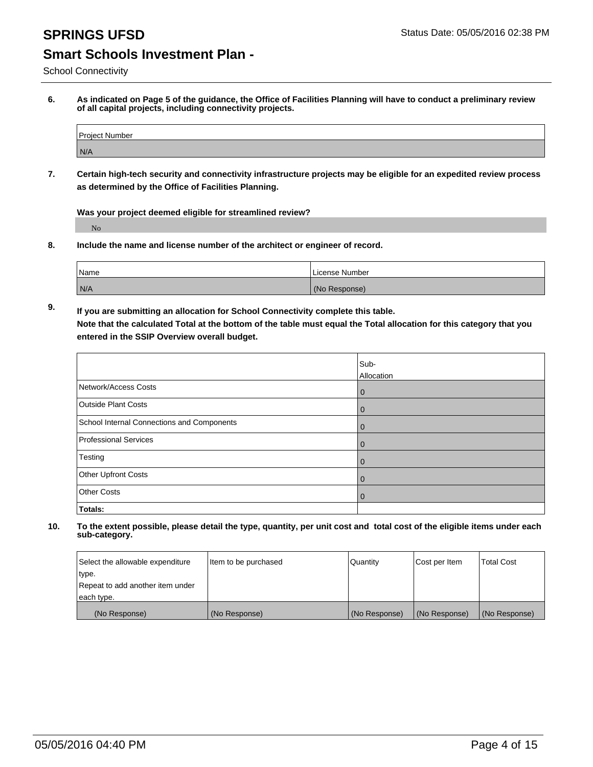School Connectivity

**6. As indicated on Page 5 of the guidance, the Office of Facilities Planning will have to conduct a preliminary review of all capital projects, including connectivity projects.**

| Proiect Number |  |
|----------------|--|
| N/A            |  |

**7. Certain high-tech security and connectivity infrastructure projects may be eligible for an expedited review process as determined by the Office of Facilities Planning.**

**Was your project deemed eligible for streamlined review?**

No

**8. Include the name and license number of the architect or engineer of record.**

| Name | License Number |
|------|----------------|
| N/A  | (No Response)  |

**9. If you are submitting an allocation for School Connectivity complete this table. Note that the calculated Total at the bottom of the table must equal the Total allocation for this category that you entered in the SSIP Overview overall budget.** 

|                                            | Sub-           |
|--------------------------------------------|----------------|
|                                            | Allocation     |
| Network/Access Costs                       | l 0            |
| Outside Plant Costs                        | l 0            |
| School Internal Connections and Components | $\overline{0}$ |
| Professional Services                      | $\mathbf 0$    |
| Testing                                    | $\mathbf 0$    |
| Other Upfront Costs                        | $\mathbf 0$    |
| <b>Other Costs</b>                         | $\mathbf 0$    |
| Totals:                                    |                |

| Select the allowable expenditure | Item to be purchased | Quantity      | Cost per Item | Total Cost    |
|----------------------------------|----------------------|---------------|---------------|---------------|
| type.                            |                      |               |               |               |
| Repeat to add another item under |                      |               |               |               |
| each type.                       |                      |               |               |               |
| (No Response)                    | (No Response)        | (No Response) | (No Response) | (No Response) |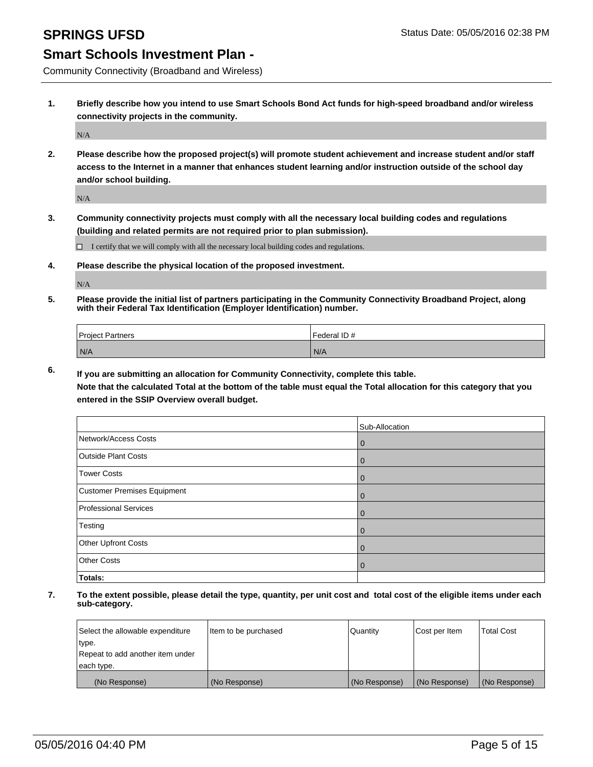Community Connectivity (Broadband and Wireless)

**1. Briefly describe how you intend to use Smart Schools Bond Act funds for high-speed broadband and/or wireless connectivity projects in the community.**

N/A

**2. Please describe how the proposed project(s) will promote student achievement and increase student and/or staff access to the Internet in a manner that enhances student learning and/or instruction outside of the school day and/or school building.**

N/A

**3. Community connectivity projects must comply with all the necessary local building codes and regulations (building and related permits are not required prior to plan submission).**

 $\Box$  I certify that we will comply with all the necessary local building codes and regulations.

**4. Please describe the physical location of the proposed investment.**

N/A

**5. Please provide the initial list of partners participating in the Community Connectivity Broadband Project, along with their Federal Tax Identification (Employer Identification) number.**

| <b>Project Partners</b> | Federal ID # |
|-------------------------|--------------|
| N/A                     | N/A          |

**6. If you are submitting an allocation for Community Connectivity, complete this table.**

**Note that the calculated Total at the bottom of the table must equal the Total allocation for this category that you entered in the SSIP Overview overall budget.**

|                              | Sub-Allocation |
|------------------------------|----------------|
| Network/Access Costs         | $\mathbf 0$    |
| Outside Plant Costs          | 0              |
| <b>Tower Costs</b>           | 0              |
| Customer Premises Equipment  | $\mathbf 0$    |
| <b>Professional Services</b> | 0              |
| Testing                      | 0              |
| Other Upfront Costs          | 0              |
| <b>Other Costs</b>           | 0              |
| Totals:                      |                |

| Select the allowable expenditure | Item to be purchased | l Quantitv    | Cost per Item | <b>Total Cost</b> |
|----------------------------------|----------------------|---------------|---------------|-------------------|
| type.                            |                      |               |               |                   |
| Repeat to add another item under |                      |               |               |                   |
| each type.                       |                      |               |               |                   |
| (No Response)                    | (No Response)        | (No Response) | (No Response) | (No Response)     |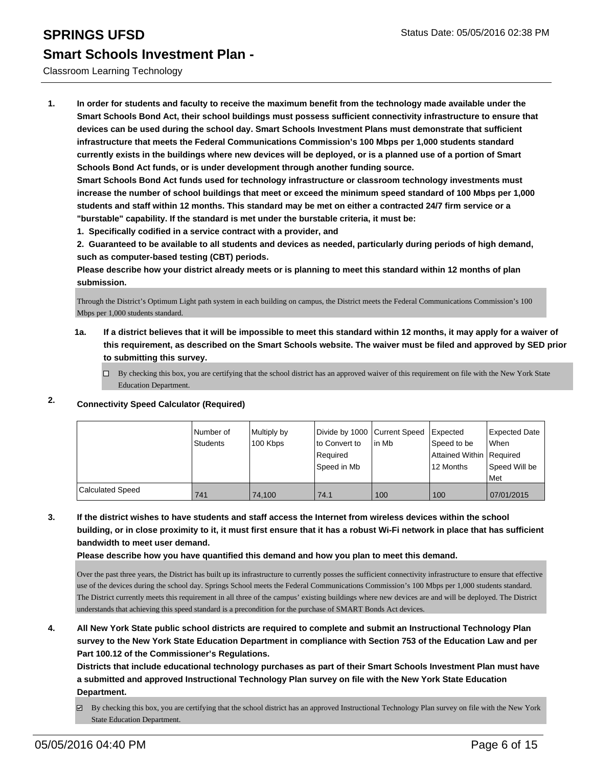### Classroom Learning Technology

**1. In order for students and faculty to receive the maximum benefit from the technology made available under the Smart Schools Bond Act, their school buildings must possess sufficient connectivity infrastructure to ensure that devices can be used during the school day. Smart Schools Investment Plans must demonstrate that sufficient infrastructure that meets the Federal Communications Commission's 100 Mbps per 1,000 students standard currently exists in the buildings where new devices will be deployed, or is a planned use of a portion of Smart Schools Bond Act funds, or is under development through another funding source.**

**Smart Schools Bond Act funds used for technology infrastructure or classroom technology investments must increase the number of school buildings that meet or exceed the minimum speed standard of 100 Mbps per 1,000 students and staff within 12 months. This standard may be met on either a contracted 24/7 firm service or a "burstable" capability. If the standard is met under the burstable criteria, it must be:**

**1. Specifically codified in a service contract with a provider, and**

**2. Guaranteed to be available to all students and devices as needed, particularly during periods of high demand, such as computer-based testing (CBT) periods.**

**Please describe how your district already meets or is planning to meet this standard within 12 months of plan submission.**

Through the District's Optimum Light path system in each building on campus, the District meets the Federal Communications Commission's 100 Mbps per 1,000 students standard.

**1a. If a district believes that it will be impossible to meet this standard within 12 months, it may apply for a waiver of this requirement, as described on the Smart Schools website. The waiver must be filed and approved by SED prior to submitting this survey.**

 $\Box$  By checking this box, you are certifying that the school district has an approved waiver of this requirement on file with the New York State Education Department.

### **2. Connectivity Speed Calculator (Required)**

|                         | INumber of<br><b>Students</b> | Multiply by<br>100 Kbps | Divide by 1000 Current Speed<br>Ito Convert to<br>Required<br> Speed in Mb | lin Mb | <b>I</b> Expected<br>Speed to be<br>Attained Within Required<br>12 Months | Expected Date<br><b>When</b><br>Speed Will be<br>l Met |
|-------------------------|-------------------------------|-------------------------|----------------------------------------------------------------------------|--------|---------------------------------------------------------------------------|--------------------------------------------------------|
| <b>Calculated Speed</b> | 741                           | 74.100                  | 74.1                                                                       | 100    | 100                                                                       | 07/01/2015                                             |

### **3. If the district wishes to have students and staff access the Internet from wireless devices within the school building, or in close proximity to it, it must first ensure that it has a robust Wi-Fi network in place that has sufficient bandwidth to meet user demand.**

**Please describe how you have quantified this demand and how you plan to meet this demand.**

Over the past three years, the District has built up its infrastructure to currently posses the sufficient connectivity infrastructure to ensure that effective use of the devices during the school day. Springs School meets the Federal Communications Commission's 100 Mbps per 1,000 students standard. The District currently meets this requirement in all three of the campus' existing buildings where new devices are and will be deployed. The District understands that achieving this speed standard is a precondition for the purchase of SMART Bonds Act devices.

**4. All New York State public school districts are required to complete and submit an Instructional Technology Plan survey to the New York State Education Department in compliance with Section 753 of the Education Law and per Part 100.12 of the Commissioner's Regulations.**

**Districts that include educational technology purchases as part of their Smart Schools Investment Plan must have a submitted and approved Instructional Technology Plan survey on file with the New York State Education Department.**

By checking this box, you are certifying that the school district has an approved Instructional Technology Plan survey on file with the New York State Education Department.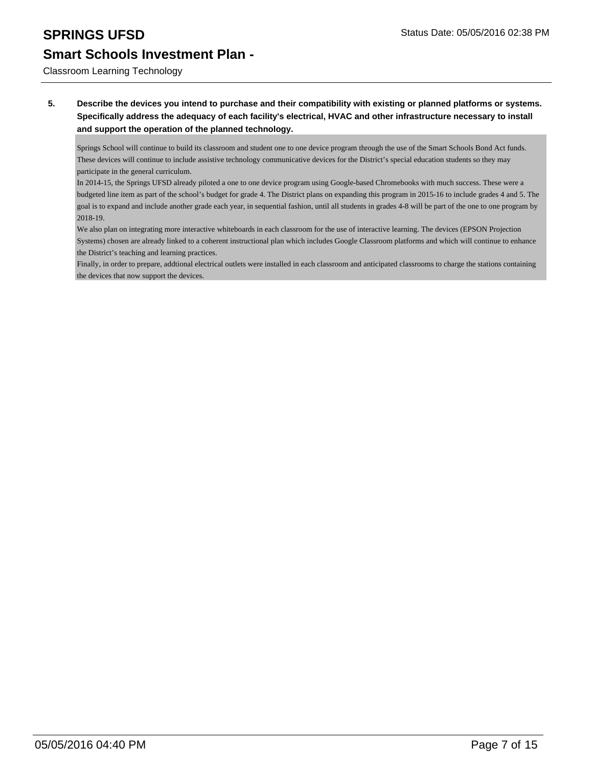# **SPRINGS UFSD** Status Date: 05/05/2016 02:38 PM

# **Smart Schools Investment Plan -**

Classroom Learning Technology

**5. Describe the devices you intend to purchase and their compatibility with existing or planned platforms or systems. Specifically address the adequacy of each facility's electrical, HVAC and other infrastructure necessary to install and support the operation of the planned technology.**

Springs School will continue to build its classroom and student one to one device program through the use of the Smart Schools Bond Act funds. These devices will continue to include assistive technology communicative devices for the District's special education students so they may participate in the general curriculum.

In 2014-15, the Springs UFSD already piloted a one to one device program using Google-based Chromebooks with much success. These were a budgeted line item as part of the school's budget for grade 4. The District plans on expanding this program in 2015-16 to include grades 4 and 5. The goal is to expand and include another grade each year, in sequential fashion, until all students in grades 4-8 will be part of the one to one program by 2018-19.

We also plan on integrating more interactive whiteboards in each classroom for the use of interactive learning. The devices (EPSON Projection Systems) chosen are already linked to a coherent instructional plan which includes Google Classroom platforms and which will continue to enhance the District's teaching and learning practices.

Finally, in order to prepare, addtional electrical outlets were installed in each classroom and anticipated classrooms to charge the stations containing the devices that now support the devices.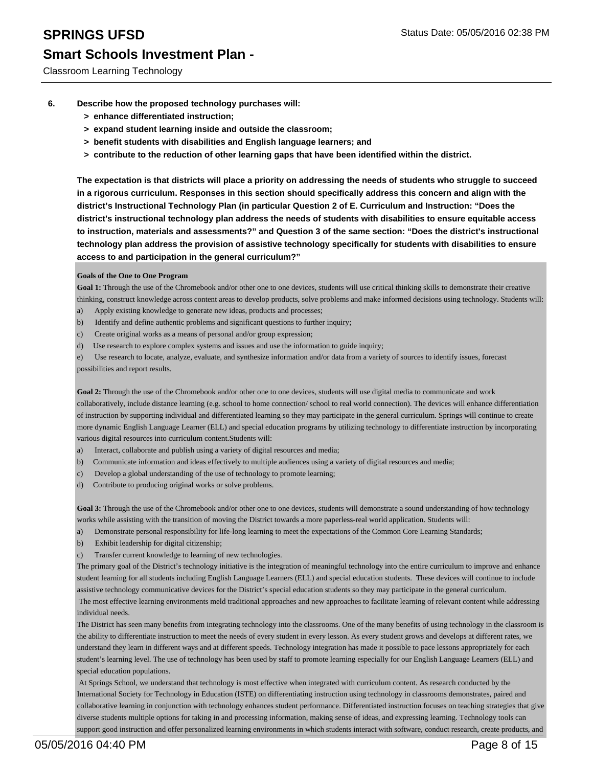- **6. Describe how the proposed technology purchases will:**
	- **> enhance differentiated instruction;**
	- **> expand student learning inside and outside the classroom;**
	- **> benefit students with disabilities and English language learners; and**
	- **> contribute to the reduction of other learning gaps that have been identified within the district.**

**The expectation is that districts will place a priority on addressing the needs of students who struggle to succeed in a rigorous curriculum. Responses in this section should specifically address this concern and align with the district's Instructional Technology Plan (in particular Question 2 of E. Curriculum and Instruction: "Does the district's instructional technology plan address the needs of students with disabilities to ensure equitable access to instruction, materials and assessments?" and Question 3 of the same section: "Does the district's instructional technology plan address the provision of assistive technology specifically for students with disabilities to ensure access to and participation in the general curriculum?"**

### **Goals of the One to One Program**

Goal 1: Through the use of the Chromebook and/or other one to one devices, students will use critical thinking skills to demonstrate their creative thinking, construct knowledge across content areas to develop products, solve problems and make informed decisions using technology. Students will:

- a) Apply existing knowledge to generate new ideas, products and processes;
- b) Identify and define authentic problems and significant questions to further inquiry;
- c) Create original works as a means of personal and/or group expression;
- d) Use research to explore complex systems and issues and use the information to guide inquiry;

e) Use research to locate, analyze, evaluate, and synthesize information and/or data from a variety of sources to identify issues, forecast possibilities and report results.

**Goal 2:** Through the use of the Chromebook and/or other one to one devices, students will use digital media to communicate and work collaboratively, include distance learning (e.g. school to home connection/ school to real world connection). The devices will enhance differentiation of instruction by supporting individual and differentiated learning so they may participate in the general curriculum. Springs will continue to create more dynamic English Language Learner (ELL) and special education programs by utilizing technology to differentiate instruction by incorporating various digital resources into curriculum content.Students will:

- a) Interact, collaborate and publish using a variety of digital resources and media;
- b) Communicate information and ideas effectively to multiple audiences using a variety of digital resources and media;
- c) Develop a global understanding of the use of technology to promote learning;
- d) Contribute to producing original works or solve problems.

Goal 3: Through the use of the Chromebook and/or other one to one devices, students will demonstrate a sound understanding of how technology works while assisting with the transition of moving the District towards a more paperless-real world application. Students will:

- a) Demonstrate personal responsibility for life-long learning to meet the expectations of the Common Core Learning Standards;
- b) Exhibit leadership for digital citizenship;
- Transfer current knowledge to learning of new technologies.

The primary goal of the District's technology initiative is the integration of meaningful technology into the entire curriculum to improve and enhance student learning for all students including English Language Learners (ELL) and special education students. These devices will continue to include assistive technology communicative devices for the District's special education students so they may participate in the general curriculum. The most effective learning environments meld traditional approaches and new approaches to facilitate learning of relevant content while addressing individual needs.

The District has seen many benefits from integrating technology into the classrooms. One of the many benefits of using technology in the classroom is the ability to differentiate instruction to meet the needs of every student in every lesson. As every student grows and develops at different rates, we understand they learn in different ways and at different speeds. Technology integration has made it possible to pace lessons appropriately for each student's learning level. The use of technology has been used by staff to promote learning especially for our English Language Learners (ELL) and special education populations.

 At Springs School, we understand that technology is most effective when integrated with curriculum content. As research conducted by the International Society for Technology in Education (ISTE) on differentiating instruction using technology in classrooms demonstrates, paired and collaborative learning in conjunction with technology enhances student performance. Differentiated instruction focuses on teaching strategies that give diverse students multiple options for taking in and processing information, making sense of ideas, and expressing learning. Technology tools can support good instruction and offer personalized learning environments in which students interact with software, conduct research, create products, and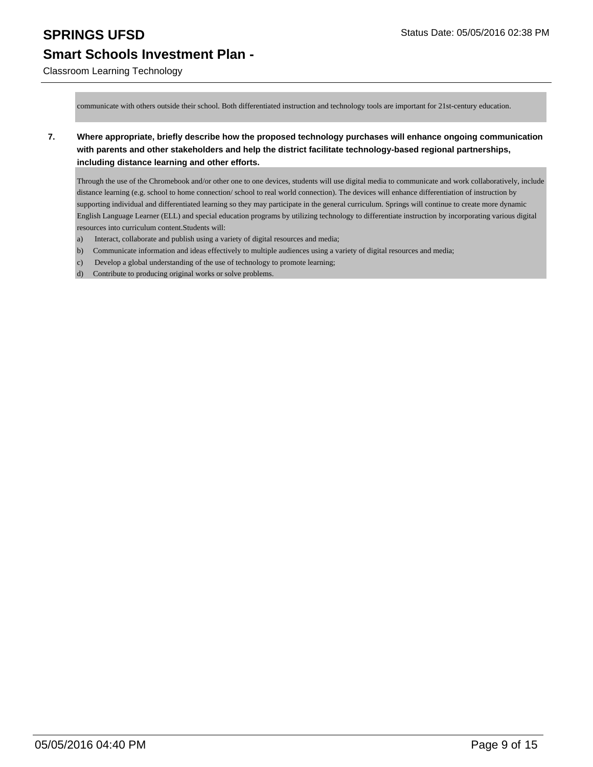Classroom Learning Technology

communicate with others outside their school. Both differentiated instruction and technology tools are important for 21st-century education.

**7. Where appropriate, briefly describe how the proposed technology purchases will enhance ongoing communication with parents and other stakeholders and help the district facilitate technology-based regional partnerships, including distance learning and other efforts.**

Through the use of the Chromebook and/or other one to one devices, students will use digital media to communicate and work collaboratively, include distance learning (e.g. school to home connection/ school to real world connection). The devices will enhance differentiation of instruction by supporting individual and differentiated learning so they may participate in the general curriculum. Springs will continue to create more dynamic English Language Learner (ELL) and special education programs by utilizing technology to differentiate instruction by incorporating various digital resources into curriculum content.Students will:

- a) Interact, collaborate and publish using a variety of digital resources and media;
- b) Communicate information and ideas effectively to multiple audiences using a variety of digital resources and media;
- c) Develop a global understanding of the use of technology to promote learning;
- d) Contribute to producing original works or solve problems.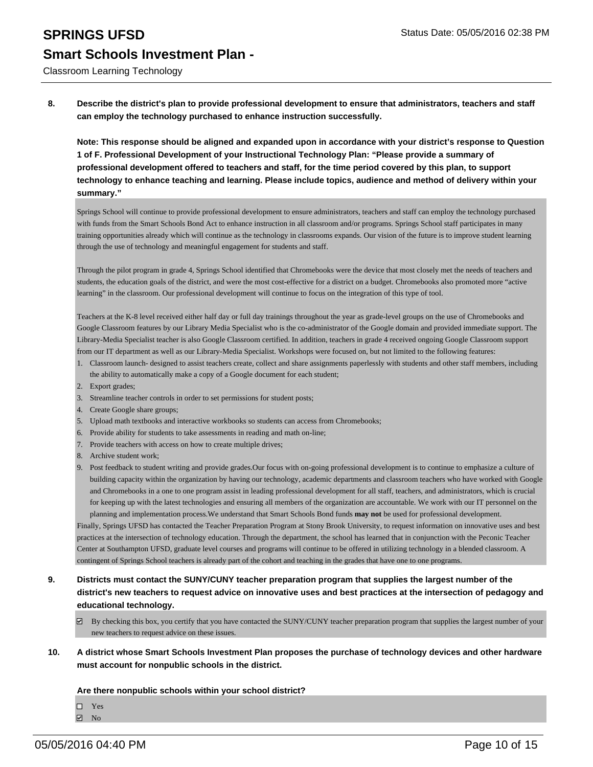# **SPRINGS UFSD** Status Date: 05/05/2016 02:38 PM **Smart Schools Investment Plan -**

Classroom Learning Technology

**8. Describe the district's plan to provide professional development to ensure that administrators, teachers and staff can employ the technology purchased to enhance instruction successfully.**

**Note: This response should be aligned and expanded upon in accordance with your district's response to Question 1 of F. Professional Development of your Instructional Technology Plan: "Please provide a summary of professional development offered to teachers and staff, for the time period covered by this plan, to support technology to enhance teaching and learning. Please include topics, audience and method of delivery within your summary."**

Springs School will continue to provide professional development to ensure administrators, teachers and staff can employ the technology purchased with funds from the Smart Schools Bond Act to enhance instruction in all classroom and/or programs. Springs School staff participates in many training opportunities already which will continue as the technology in classrooms expands. Our vision of the future is to improve student learning through the use of technology and meaningful engagement for students and staff.

Through the pilot program in grade 4, Springs School identified that Chromebooks were the device that most closely met the needs of teachers and students, the education goals of the district, and were the most cost-effective for a district on a budget. Chromebooks also promoted more "active learning" in the classroom. Our professional development will continue to focus on the integration of this type of tool.

Teachers at the K-8 level received either half day or full day trainings throughout the year as grade-level groups on the use of Chromebooks and Google Classroom features by our Library Media Specialist who is the co-administrator of the Google domain and provided immediate support. The Library-Media Specialist teacher is also Google Classroom certified. In addition, teachers in grade 4 received ongoing Google Classroom support from our IT department as well as our Library-Media Specialist. Workshops were focused on, but not limited to the following features:

- Classroom launch- designed to assist teachers create, collect and share assignments paperlessly with students and other staff members, including 1. the ability to automatically make a copy of a Google document for each student;
- 2. Export grades;
- 3. Streamline teacher controls in order to set permissions for student posts;
- 4. Create Google share groups;
- 5. Upload math textbooks and interactive workbooks so students can access from Chromebooks;
- 6. Provide ability for students to take assessments in reading and math on-line;
- 7. Provide teachers with access on how to create multiple drives;
- 8. Archive student work;
- Post feedback to student writing and provide grades.Our focus with on-going professional development is to continue to emphasize a culture of 9. building capacity within the organization by having our technology, academic departments and classroom teachers who have worked with Google and Chromebooks in a one to one program assist in leading professional development for all staff, teachers, and administrators, which is crucial for keeping up with the latest technologies and ensuring all members of the organization are accountable. We work with our IT personnel on the planning and implementation process.We understand that Smart Schools Bond funds **may not** be used for professional development.

Finally, Springs UFSD has contacted the Teacher Preparation Program at Stony Brook University, to request information on innovative uses and best practices at the intersection of technology education. Through the department, the school has learned that in conjunction with the Peconic Teacher Center at Southampton UFSD, graduate level courses and programs will continue to be offered in utilizing technology in a blended classroom. A contingent of Springs School teachers is already part of the cohort and teaching in the grades that have one to one programs.

- **9. Districts must contact the SUNY/CUNY teacher preparation program that supplies the largest number of the district's new teachers to request advice on innovative uses and best practices at the intersection of pedagogy and educational technology.**
	- $\boxtimes$  By checking this box, you certify that you have contacted the SUNY/CUNY teacher preparation program that supplies the largest number of your new teachers to request advice on these issues.
- **10. A district whose Smart Schools Investment Plan proposes the purchase of technology devices and other hardware must account for nonpublic schools in the district.**

**Are there nonpublic schools within your school district?**

□ Yes

No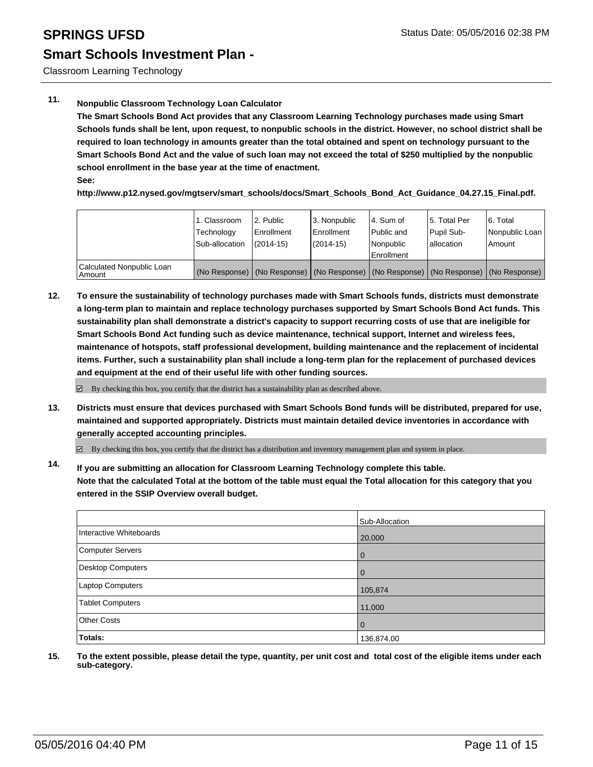Classroom Learning Technology

### **11. Nonpublic Classroom Technology Loan Calculator**

**The Smart Schools Bond Act provides that any Classroom Learning Technology purchases made using Smart Schools funds shall be lent, upon request, to nonpublic schools in the district. However, no school district shall be required to loan technology in amounts greater than the total obtained and spent on technology pursuant to the Smart Schools Bond Act and the value of such loan may not exceed the total of \$250 multiplied by the nonpublic school enrollment in the base year at the time of enactment. See:**

**http://www.p12.nysed.gov/mgtserv/smart\_schools/docs/Smart\_Schools\_Bond\_Act\_Guidance\_04.27.15\_Final.pdf.**

|                                     | 1. Classroom<br>Technology<br>Sub-allocation | 2. Public<br>Enrollment<br>$(2014 - 15)$ | 3. Nonpublic<br>l Enrollment<br>$(2014 - 15)$ | l 4. Sum of<br>Public and<br>Nonpublic<br><b>Enrollment</b> | 15. Total Per<br>Pupil Sub-<br>lallocation | 6. Total<br>Nonpublic Loan<br>Amount                                                |
|-------------------------------------|----------------------------------------------|------------------------------------------|-----------------------------------------------|-------------------------------------------------------------|--------------------------------------------|-------------------------------------------------------------------------------------|
| Calculated Nonpublic Loan<br>Amount |                                              |                                          |                                               |                                                             |                                            | (No Response) (No Response) (No Response) (No Response) (No Response) (No Response) |

**12. To ensure the sustainability of technology purchases made with Smart Schools funds, districts must demonstrate a long-term plan to maintain and replace technology purchases supported by Smart Schools Bond Act funds. This sustainability plan shall demonstrate a district's capacity to support recurring costs of use that are ineligible for Smart Schools Bond Act funding such as device maintenance, technical support, Internet and wireless fees, maintenance of hotspots, staff professional development, building maintenance and the replacement of incidental items. Further, such a sustainability plan shall include a long-term plan for the replacement of purchased devices and equipment at the end of their useful life with other funding sources.**

 $\boxtimes$  By checking this box, you certify that the district has a sustainability plan as described above.

**13. Districts must ensure that devices purchased with Smart Schools Bond funds will be distributed, prepared for use, maintained and supported appropriately. Districts must maintain detailed device inventories in accordance with generally accepted accounting principles.**

By checking this box, you certify that the district has a distribution and inventory management plan and system in place.

**14. If you are submitting an allocation for Classroom Learning Technology complete this table. Note that the calculated Total at the bottom of the table must equal the Total allocation for this category that you entered in the SSIP Overview overall budget.**

|                         | Sub-Allocation |
|-------------------------|----------------|
| Interactive Whiteboards | 20,000         |
| Computer Servers        | 0              |
| Desktop Computers       | $\Omega$       |
| Laptop Computers        | 105,874        |
| Tablet Computers        | 11,000         |
| <b>Other Costs</b>      | $\Omega$       |
| Totals:                 | 136,874.00     |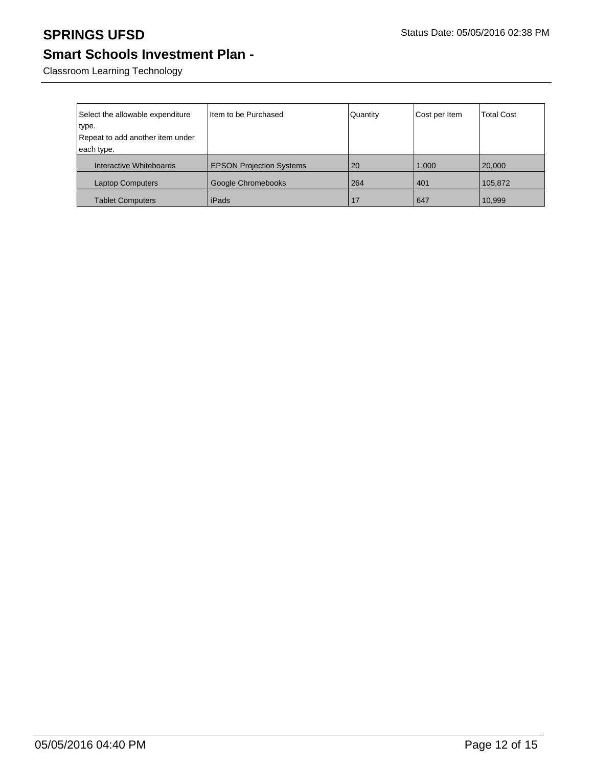Classroom Learning Technology

| Select the allowable expenditure | Iltem to be Purchased           | Quantity | Cost per Item | <b>Total Cost</b> |
|----------------------------------|---------------------------------|----------|---------------|-------------------|
| type.                            |                                 |          |               |                   |
| Repeat to add another item under |                                 |          |               |                   |
| each type.                       |                                 |          |               |                   |
| Interactive Whiteboards          | <b>EPSON Projection Systems</b> | 20       | 1,000         | 20,000            |
| <b>Laptop Computers</b>          | Google Chromebooks              | 264      | 401           | 105,872           |
| <b>Tablet Computers</b>          | iPads                           |          | 647           | 10,999            |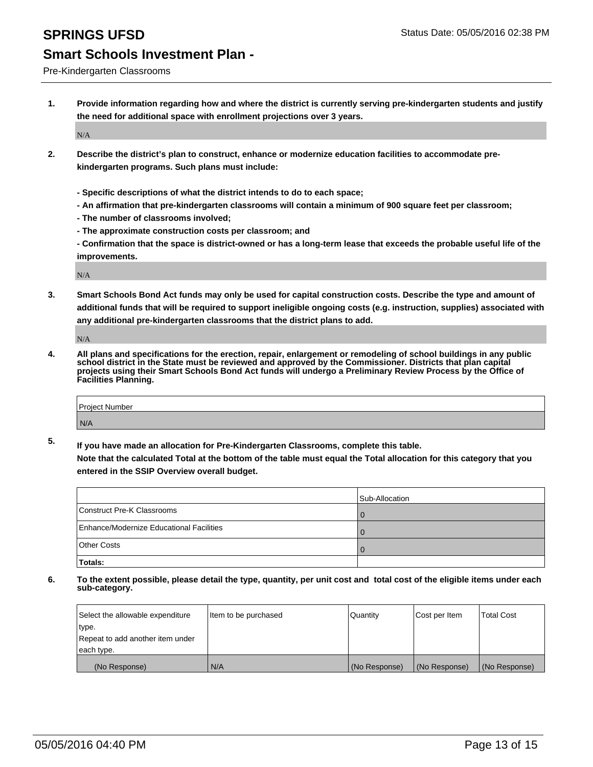Pre-Kindergarten Classrooms

**1. Provide information regarding how and where the district is currently serving pre-kindergarten students and justify the need for additional space with enrollment projections over 3 years.**

N/A

- **2. Describe the district's plan to construct, enhance or modernize education facilities to accommodate prekindergarten programs. Such plans must include:**
	- **Specific descriptions of what the district intends to do to each space;**
	- **An affirmation that pre-kindergarten classrooms will contain a minimum of 900 square feet per classroom;**
	- **The number of classrooms involved;**
	- **The approximate construction costs per classroom; and**
	- **Confirmation that the space is district-owned or has a long-term lease that exceeds the probable useful life of the improvements.**

N/A

**3. Smart Schools Bond Act funds may only be used for capital construction costs. Describe the type and amount of additional funds that will be required to support ineligible ongoing costs (e.g. instruction, supplies) associated with any additional pre-kindergarten classrooms that the district plans to add.**

N/A

**4. All plans and specifications for the erection, repair, enlargement or remodeling of school buildings in any public school district in the State must be reviewed and approved by the Commissioner. Districts that plan capital projects using their Smart Schools Bond Act funds will undergo a Preliminary Review Process by the Office of Facilities Planning.**

| Project Number |  |
|----------------|--|
| N/A            |  |

**5. If you have made an allocation for Pre-Kindergarten Classrooms, complete this table. Note that the calculated Total at the bottom of the table must equal the Total allocation for this category that you**

**entered in the SSIP Overview overall budget.**

|                                          | Sub-Allocation |
|------------------------------------------|----------------|
| Construct Pre-K Classrooms               |                |
| Enhance/Modernize Educational Facilities |                |
| Other Costs                              |                |
| Totals:                                  |                |

| Select the allowable expenditure | Item to be purchased | Quantity      | Cost per Item | <b>Total Cost</b> |
|----------------------------------|----------------------|---------------|---------------|-------------------|
| type.                            |                      |               |               |                   |
| Repeat to add another item under |                      |               |               |                   |
| each type.                       |                      |               |               |                   |
| (No Response)                    | N/A                  | (No Response) | (No Response) | (No Response)     |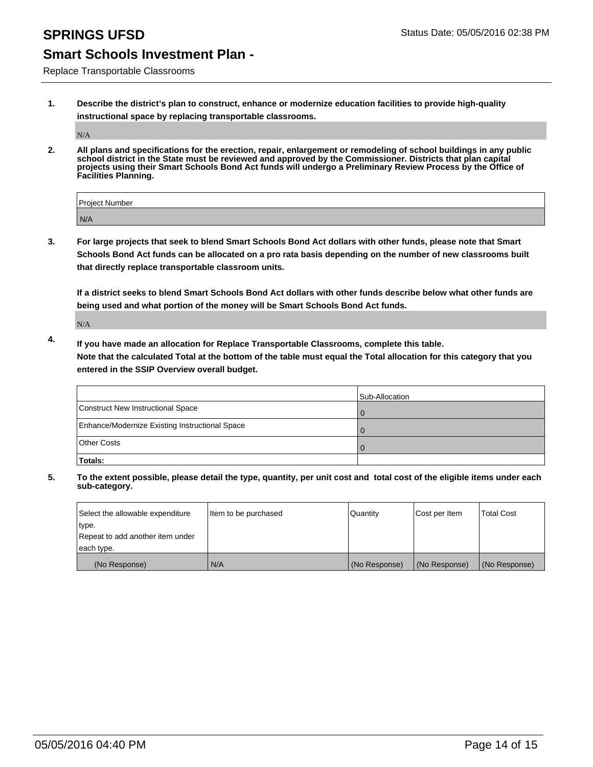Replace Transportable Classrooms

**1. Describe the district's plan to construct, enhance or modernize education facilities to provide high-quality instructional space by replacing transportable classrooms.**

N/A

**2. All plans and specifications for the erection, repair, enlargement or remodeling of school buildings in any public school district in the State must be reviewed and approved by the Commissioner. Districts that plan capital projects using their Smart Schools Bond Act funds will undergo a Preliminary Review Process by the Office of Facilities Planning.**

| Project Number |  |
|----------------|--|
| N/A            |  |

**3. For large projects that seek to blend Smart Schools Bond Act dollars with other funds, please note that Smart Schools Bond Act funds can be allocated on a pro rata basis depending on the number of new classrooms built that directly replace transportable classroom units.**

**If a district seeks to blend Smart Schools Bond Act dollars with other funds describe below what other funds are being used and what portion of the money will be Smart Schools Bond Act funds.**

N/A

**4. If you have made an allocation for Replace Transportable Classrooms, complete this table. Note that the calculated Total at the bottom of the table must equal the Total allocation for this category that you entered in the SSIP Overview overall budget.**

|                                                | Sub-Allocation |
|------------------------------------------------|----------------|
| Construct New Instructional Space              |                |
| Enhance/Modernize Existing Instructional Space |                |
| Other Costs                                    |                |
| Totals:                                        |                |

| Select the allowable expenditure | Item to be purchased | Quantity      | Cost per Item | <b>Total Cost</b> |
|----------------------------------|----------------------|---------------|---------------|-------------------|
| type.                            |                      |               |               |                   |
| Repeat to add another item under |                      |               |               |                   |
| each type.                       |                      |               |               |                   |
| (No Response)                    | N/A                  | (No Response) | (No Response) | (No Response)     |